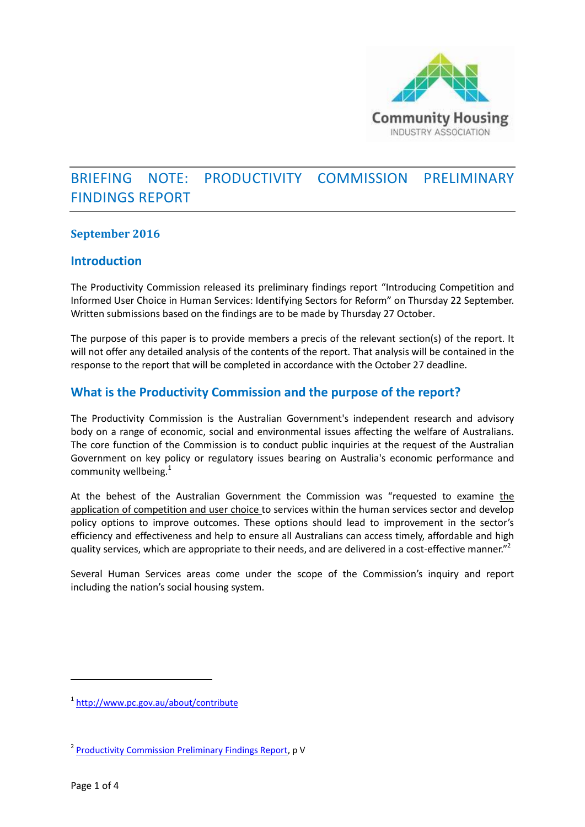

# BRIEFING NOTE: PRODUCTIVITY COMMISSION PRELIMINARY FINDINGS REPORT

### **September 2016**

### **Introduction**

The Productivity Commission released its preliminary findings report "Introducing Competition and Informed User Choice in Human Services: Identifying Sectors for Reform" on Thursday 22 September. Written submissions based on the findings are to be made by Thursday 27 October.

The purpose of this paper is to provide members a precis of the relevant section(s) of the report. It will not offer any detailed analysis of the contents of the report. That analysis will be contained in the response to the report that will be completed in accordance with the October 27 deadline.

## **What is the Productivity Commission and the purpose of the report?**

The Productivity Commission is the Australian Government's independent research and advisory body on a range of economic, social and environmental issues affecting the welfare of Australians. The core function of the Commission is to conduct public inquiries at the request of the Australian Government on key policy or regulatory issues bearing on Australia's economic performance and community wellbeing. $1$ 

At the behest of the Australian Government the Commission was "requested to examine the application of competition and user choice to services within the human services sector and develop policy options to improve outcomes. These options should lead to improvement in the sector's efficiency and effectiveness and help to ensure all Australians can access timely, affordable and high quality services, which are appropriate to their needs, and are delivered in a cost-effective manner."<sup>2</sup>

Several Human Services areas come under the scope of the Commission's inquiry and report including the nation's social housing system.

**.** 

<sup>1</sup> <http://www.pc.gov.au/about/contribute>

<sup>&</sup>lt;sup>2</sup> [Productivity Commission Preliminary Findings Report,](http://www.pc.gov.au/inquiries/current/human-services/identifying-reform/preliminary-findings/human-services-identifying-reform-preliminary-findings.pdf) p V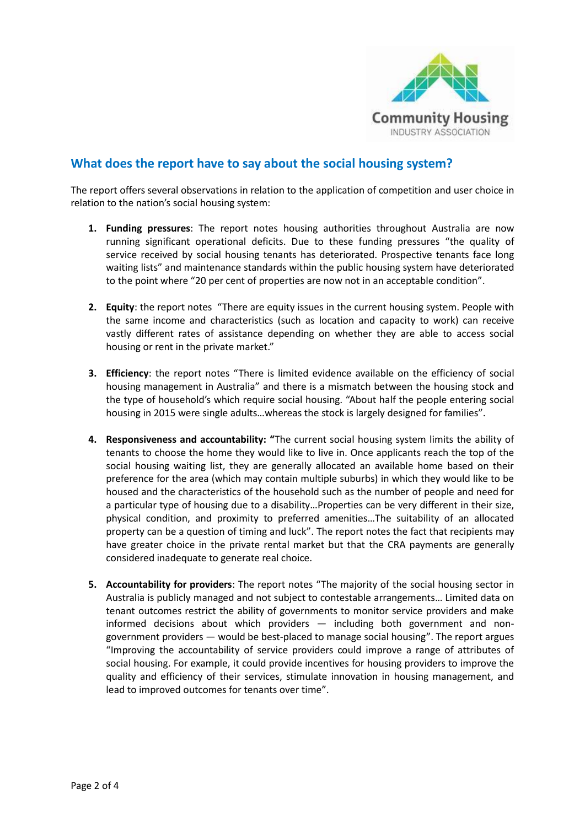

## **What does the report have to say about the social housing system?**

The report offers several observations in relation to the application of competition and user choice in relation to the nation's social housing system:

- **1. Funding pressures**: The report notes housing authorities throughout Australia are now running significant operational deficits. Due to these funding pressures "the quality of service received by social housing tenants has deteriorated. Prospective tenants face long waiting lists" and maintenance standards within the public housing system have deteriorated to the point where "20 per cent of properties are now not in an acceptable condition".
- **2. Equity**: the report notes "There are equity issues in the current housing system. People with the same income and characteristics (such as location and capacity to work) can receive vastly different rates of assistance depending on whether they are able to access social housing or rent in the private market."
- **3. Efficiency**: the report notes "There is limited evidence available on the efficiency of social housing management in Australia" and there is a mismatch between the housing stock and the type of household's which require social housing. "About half the people entering social housing in 2015 were single adults…whereas the stock is largely designed for families".
- **4. Responsiveness and accountability: "**The current social housing system limits the ability of tenants to choose the home they would like to live in. Once applicants reach the top of the social housing waiting list, they are generally allocated an available home based on their preference for the area (which may contain multiple suburbs) in which they would like to be housed and the characteristics of the household such as the number of people and need for a particular type of housing due to a disability…Properties can be very different in their size, physical condition, and proximity to preferred amenities…The suitability of an allocated property can be a question of timing and luck". The report notes the fact that recipients may have greater choice in the private rental market but that the CRA payments are generally considered inadequate to generate real choice.
- **5. Accountability for providers**: The report notes "The majority of the social housing sector in Australia is publicly managed and not subject to contestable arrangements… Limited data on tenant outcomes restrict the ability of governments to monitor service providers and make informed decisions about which providers — including both government and nongovernment providers — would be best-placed to manage social housing". The report argues "Improving the accountability of service providers could improve a range of attributes of social housing. For example, it could provide incentives for housing providers to improve the quality and efficiency of their services, stimulate innovation in housing management, and lead to improved outcomes for tenants over time".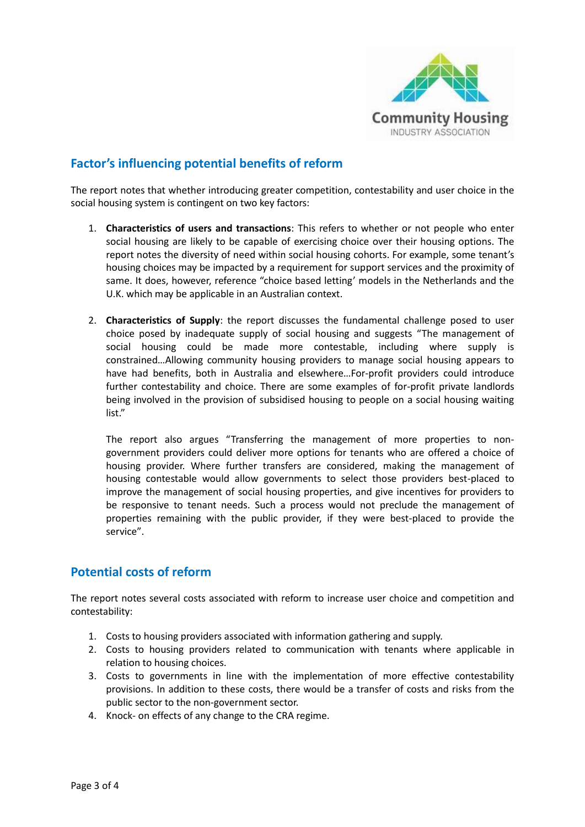

## **Factor's influencing potential benefits of reform**

The report notes that whether introducing greater competition, contestability and user choice in the social housing system is contingent on two key factors:

- 1. **Characteristics of users and transactions**: This refers to whether or not people who enter social housing are likely to be capable of exercising choice over their housing options. The report notes the diversity of need within social housing cohorts. For example, some tenant's housing choices may be impacted by a requirement for support services and the proximity of same. It does, however, reference "choice based letting' models in the Netherlands and the U.K. which may be applicable in an Australian context.
- 2. **Characteristics of Supply**: the report discusses the fundamental challenge posed to user choice posed by inadequate supply of social housing and suggests "The management of social housing could be made more contestable, including where supply is constrained…Allowing community housing providers to manage social housing appears to have had benefits, both in Australia and elsewhere…For-profit providers could introduce further contestability and choice. There are some examples of for-profit private landlords being involved in the provision of subsidised housing to people on a social housing waiting list."

The report also argues "Transferring the management of more properties to nongovernment providers could deliver more options for tenants who are offered a choice of housing provider. Where further transfers are considered, making the management of housing contestable would allow governments to select those providers best-placed to improve the management of social housing properties, and give incentives for providers to be responsive to tenant needs. Such a process would not preclude the management of properties remaining with the public provider, if they were best-placed to provide the service".

## **Potential costs of reform**

The report notes several costs associated with reform to increase user choice and competition and contestability:

- 1. Costs to housing providers associated with information gathering and supply.
- 2. Costs to housing providers related to communication with tenants where applicable in relation to housing choices.
- 3. Costs to governments in line with the implementation of more effective contestability provisions. In addition to these costs, there would be a transfer of costs and risks from the public sector to the non-government sector.
- 4. Knock- on effects of any change to the CRA regime.